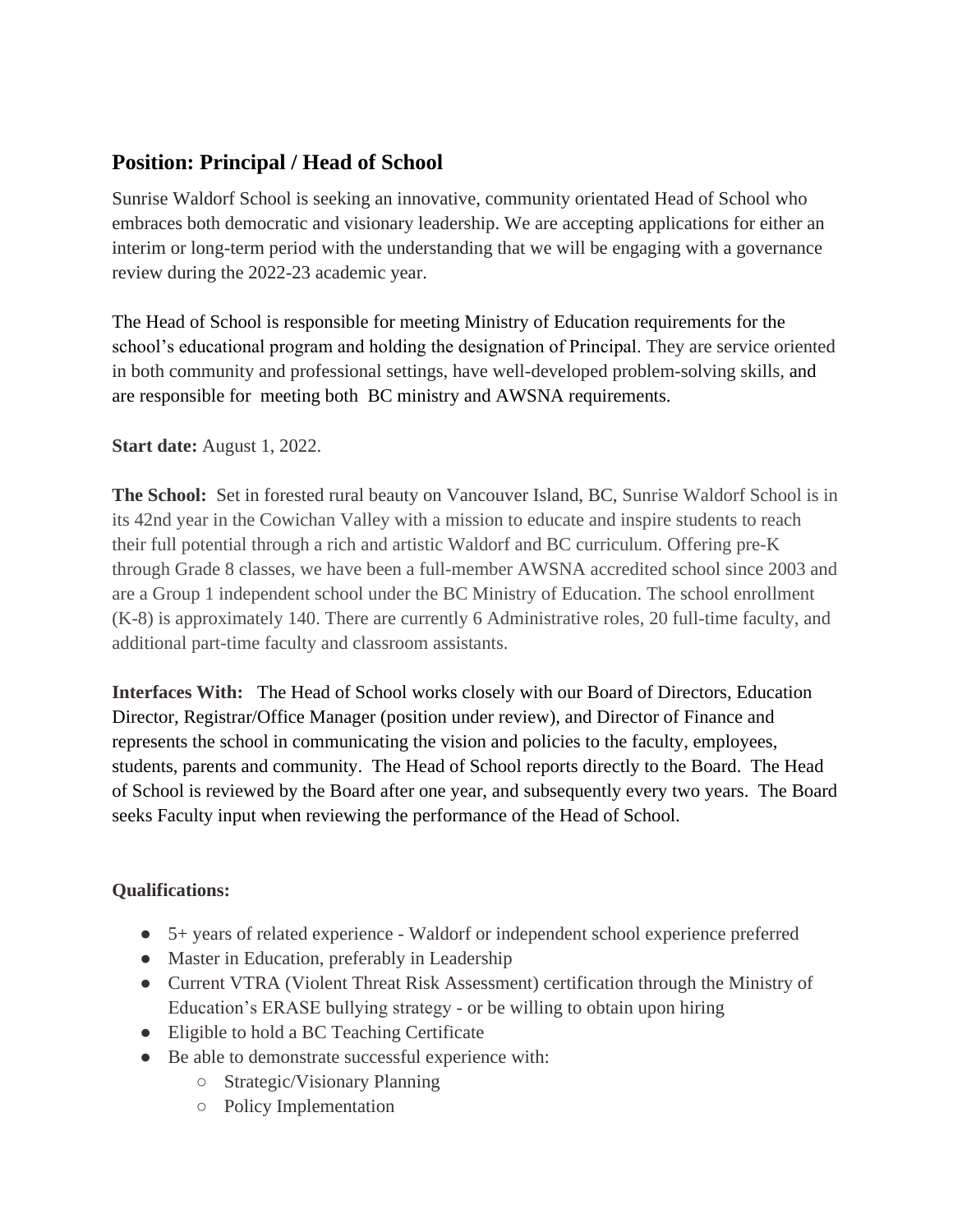## **Position: Principal / Head of School**

Sunrise Waldorf School is seeking an innovative, community orientated Head of School who embraces both democratic and visionary leadership. We are accepting applications for either an interim or long-term period with the understanding that we will be engaging with a governance review during the 2022-23 academic year.

The Head of School is responsible for meeting Ministry of Education requirements for the school's educational program and holding the designation of Principal. They are service oriented in both community and professional settings, have well-developed problem-solving skills, and are responsible for meeting both BC ministry and AWSNA requirements.

## **Start date:** August 1, 2022.

**The School:** Set in forested rural beauty on Vancouver Island, BC, Sunrise Waldorf School is in its 42nd year in the Cowichan Valley with a mission to educate and inspire students to reach their full potential through a rich and artistic Waldorf and BC curriculum. Offering pre-K through Grade 8 classes, we have been a full-member AWSNA accredited school since 2003 and are a Group 1 independent school under the BC Ministry of Education. The school enrollment (K-8) is approximately 140. There are currently 6 Administrative roles, 20 full-time faculty, and additional part-time faculty and classroom assistants.

**Interfaces With:** The Head of School works closely with our Board of Directors, Education Director, Registrar/Office Manager (position under review), and Director of Finance and represents the school in communicating the vision and policies to the faculty, employees, students, parents and community. The Head of School reports directly to the Board. The Head of School is reviewed by the Board after one year, and subsequently every two years. The Board seeks Faculty input when reviewing the performance of the Head of School.

## **Qualifications:**

- 5+ years of related experience Waldorf or independent school experience preferred
- Master in Education, preferably in Leadership
- Current VTRA (Violent Threat Risk Assessment) certification through the Ministry of Education's ERASE bullying strategy - or be willing to obtain upon hiring
- Eligible to hold a BC Teaching Certificate
- Be able to demonstrate successful experience with:
	- Strategic/Visionary Planning
	- Policy Implementation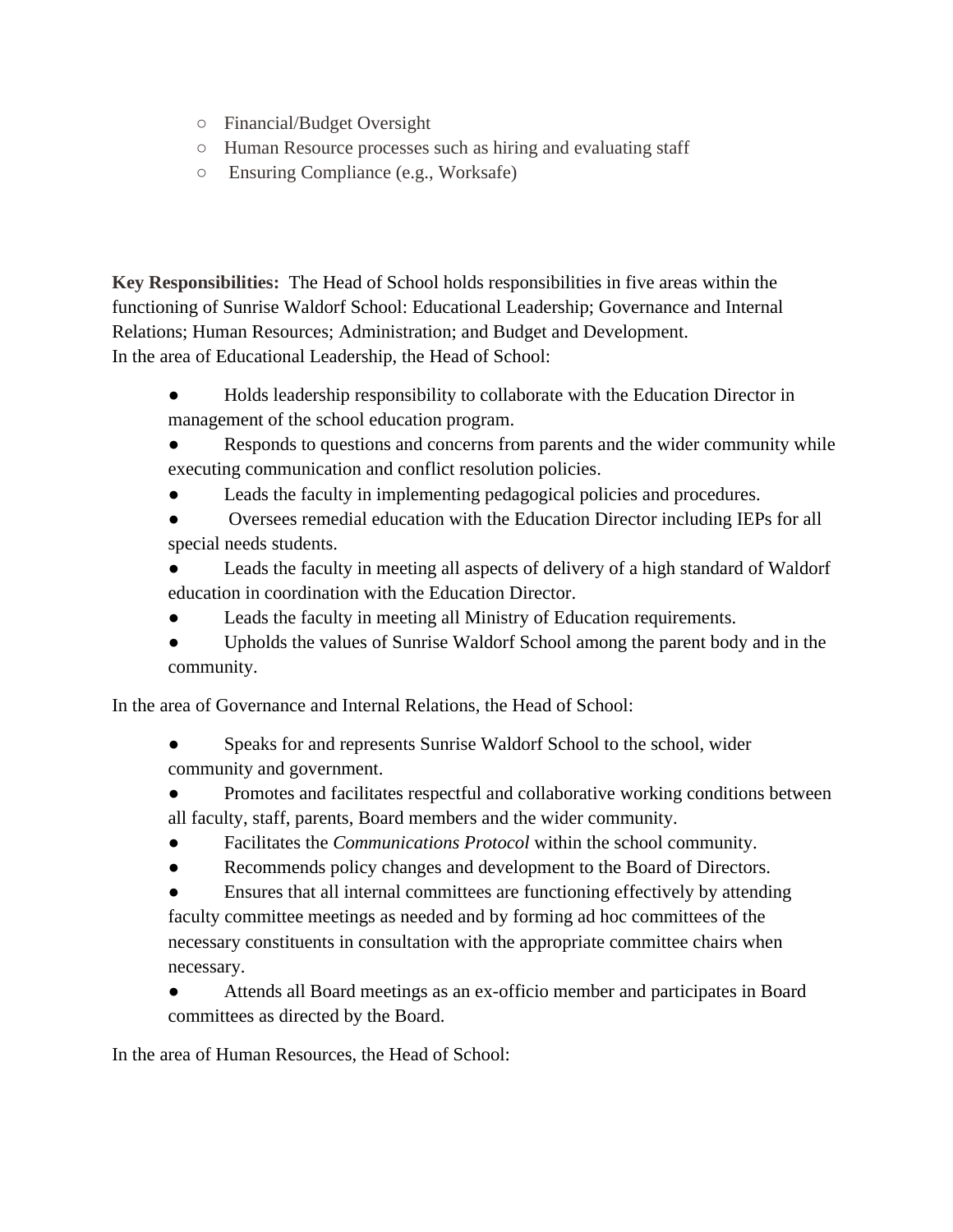- Financial/Budget Oversight
- Human Resource processes such as hiring and evaluating staff
- Ensuring Compliance (e.g., Worksafe)

**Key Responsibilities:** The Head of School holds responsibilities in five areas within the functioning of Sunrise Waldorf School: Educational Leadership; Governance and Internal Relations; Human Resources; Administration; and Budget and Development. In the area of Educational Leadership, the Head of School:

- Holds leadership responsibility to collaborate with the Education Director in management of the school education program.
- Responds to questions and concerns from parents and the wider community while executing communication and conflict resolution policies.
- Leads the faculty in implementing pedagogical policies and procedures.
- Oversees remedial education with the Education Director including IEPs for all special needs students.
- Leads the faculty in meeting all aspects of delivery of a high standard of Waldorf education in coordination with the Education Director.
- Leads the faculty in meeting all Ministry of Education requirements.
- Upholds the values of Sunrise Waldorf School among the parent body and in the community.

In the area of Governance and Internal Relations, the Head of School:

- Speaks for and represents Sunrise Waldorf School to the school, wider community and government.
- Promotes and facilitates respectful and collaborative working conditions between all faculty, staff, parents, Board members and the wider community.
- Facilitates the *Communications Protocol* within the school community.
- Recommends policy changes and development to the Board of Directors.

Ensures that all internal committees are functioning effectively by attending faculty committee meetings as needed and by forming ad hoc committees of the necessary constituents in consultation with the appropriate committee chairs when necessary.

● Attends all Board meetings as an ex-officio member and participates in Board committees as directed by the Board.

In the area of Human Resources, the Head of School: